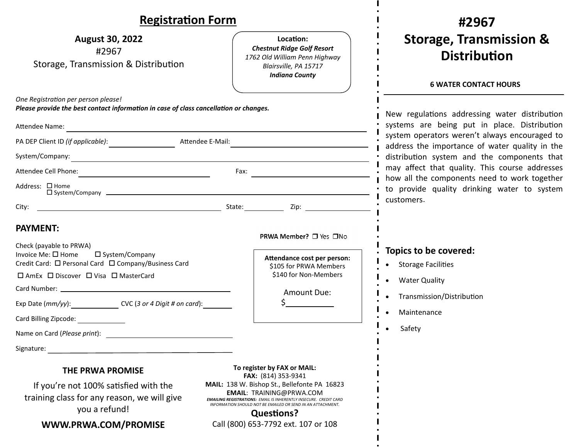#### **RegistraƟon Form #2967Storage, Transmission & August 30, 2022 LocaƟon:***Chestnut Ridge Golf Resort*  #2967 **DistribuƟon***1762 Old William Penn Highway* Storage, Transmission & Distribution *Blairsville, PA 15717 Indiana County*  **6 WATER CONTACT HOURS** *One RegistraƟon per person please! Please provide the best contact information in case of class cancellation or changes.* New regulations addressing water distribution systems are being put in place. Distribution Attendee Name: system operators weren't always encouraged to PA DEP Client ID (if applicable): Attendee E-Mail: address the importance of water quality in the System/Company: distribution system and the components that may affect that quality. This course addresses AƩendee Cell Phone: Fax: how all the components need to work together Address: □ Home to provide quality drinking water to system System/Company customers. City: 2ip: **PAYMENT:**PRWA Member? □ Yes □No Check (payable to PRWA) **Topics to be covered:** Invoice Me:  $\square$  Home  $\square$  System/Company **AƩendance cost per person:** Credit Card: □ Personal Card □ Company/Business Card Storage Facilities \$105 for PRWA Members  $\bullet$ \$140 for Non‐Members  $\square$  AmEx  $\square$  Discover  $\square$  Visa  $\square$  MasterCard Water Quality  $\bullet$ Card Number: Amount Due: Transmission/DistribuƟon  $\bullet$ Exp Date (*mm/yy*): CVC (*3 or 4 Digit # on card*): \$ Maintenance  $\bullet$ Card Billing Zipcode: Safety Name on Card (*Please print*): Signature: when the contract of the contract of the contract of the contract of the contract of the contract of the contract of the contract of the contract of the contract of the contract of the contract of the contract o **To register by FAX or MAIL: THE PRWA PROMISE FAX:** (814) 353‐9341 If you're not 100% satisfied with the **MAIL:** 138 W. Bishop St., Bellefonte PA 16823 **EMAIL**: TRAINING@PRWA.COM training class for any reason, we will give *EMAILING REGISTRATIONS: EMAIL IS INHERENTLY INSECURE. CREDIT CARDINFORMATION SHOULD NOT BE EMAILED OR SEND IN AN ATTACHMENT.* you a refund! **QuesƟons? WWW.PRWA.COM/PROMISE**Call (800) 653‐7792 ext. 107 or 108